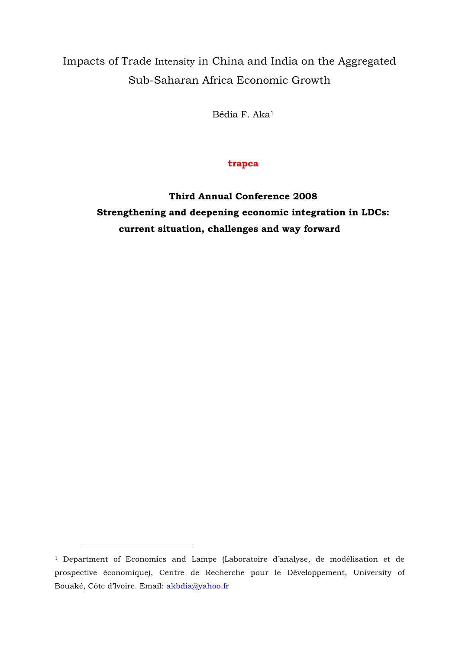# Impacts of Trade Intensity in China and India on the Aggregated Sub-Saharan Africa Economic Growth

Bédia F. Aka1

### **trapca**

**Third Annual Conference 2008 Strengthening and deepening economic integration in LDCs: current situation, challenges and way forward**

 $\overline{a}$ 

<sup>1</sup> Department of Economics and Lampe (Laboratoire d'analyse, de modélisation et de prospective économique), Centre de Recherche pour le Développement, University of Bouaké, Côte d'Ivoire. Email: akbdia@yahoo.fr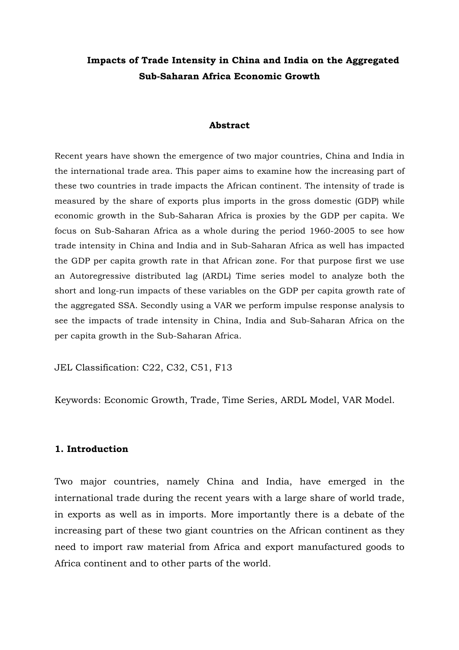## **Impacts of Trade Intensity in China and India on the Aggregated Sub-Saharan Africa Economic Growth**

#### **Abstract**

Recent years have shown the emergence of two major countries, China and India in the international trade area. This paper aims to examine how the increasing part of these two countries in trade impacts the African continent. The intensity of trade is measured by the share of exports plus imports in the gross domestic (GDP) while economic growth in the Sub-Saharan Africa is proxies by the GDP per capita. We focus on Sub-Saharan Africa as a whole during the period 1960-2005 to see how trade intensity in China and India and in Sub-Saharan Africa as well has impacted the GDP per capita growth rate in that African zone. For that purpose first we use an Autoregressive distributed lag (ARDL) Time series model to analyze both the short and long-run impacts of these variables on the GDP per capita growth rate of the aggregated SSA. Secondly using a VAR we perform impulse response analysis to see the impacts of trade intensity in China, India and Sub-Saharan Africa on the per capita growth in the Sub-Saharan Africa.

JEL Classification: C22, C32, C51, F13

Keywords: Economic Growth, Trade, Time Series, ARDL Model, VAR Model.

#### **1. Introduction**

Two major countries, namely China and India, have emerged in the international trade during the recent years with a large share of world trade, in exports as well as in imports. More importantly there is a debate of the increasing part of these two giant countries on the African continent as they need to import raw material from Africa and export manufactured goods to Africa continent and to other parts of the world.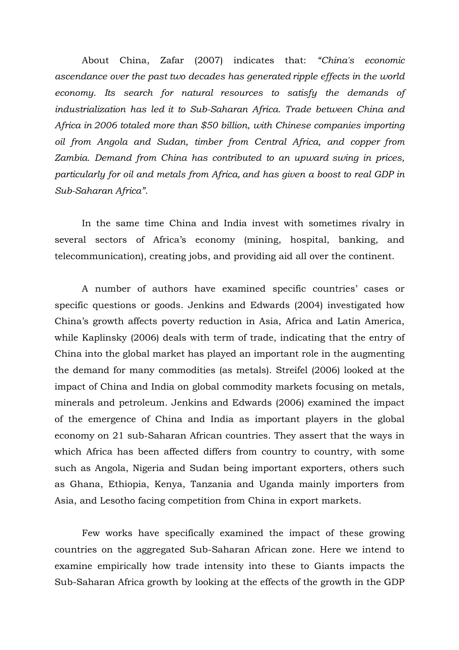About China, Zafar (2007) indicates that: *"China's economic ascendance over the past two decades has generated ripple effects in the world economy. Its search for natural resources to satisfy the demands of industrialization has led it to Sub-Saharan Africa. Trade between China and Africa in 2006 totaled more than \$50 billion, with Chinese companies importing oil from Angola and Sudan, timber from Central Africa, and copper from Zambia. Demand from China has contributed to an upward swing in prices, particularly for oil and metals from Africa, and has given a boost to real GDP in Sub-Saharan Africa"*.

In the same time China and India invest with sometimes rivalry in several sectors of Africa's economy (mining, hospital, banking, and telecommunication), creating jobs, and providing aid all over the continent.

A number of authors have examined specific countries' cases or specific questions or goods. Jenkins and Edwards (2004) investigated how China's growth affects poverty reduction in Asia, Africa and Latin America, while Kaplinsky (2006) deals with term of trade, indicating that the entry of China into the global market has played an important role in the augmenting the demand for many commodities (as metals). Streifel (2006) looked at the impact of China and India on global commodity markets focusing on metals, minerals and petroleum. Jenkins and Edwards (2006) examined the impact of the emergence of China and India as important players in the global economy on 21 sub-Saharan African countries. They assert that the ways in which Africa has been affected differs from country to country, with some such as Angola, Nigeria and Sudan being important exporters, others such as Ghana, Ethiopia, Kenya, Tanzania and Uganda mainly importers from Asia, and Lesotho facing competition from China in export markets.

Few works have specifically examined the impact of these growing countries on the aggregated Sub-Saharan African zone. Here we intend to examine empirically how trade intensity into these to Giants impacts the Sub-Saharan Africa growth by looking at the effects of the growth in the GDP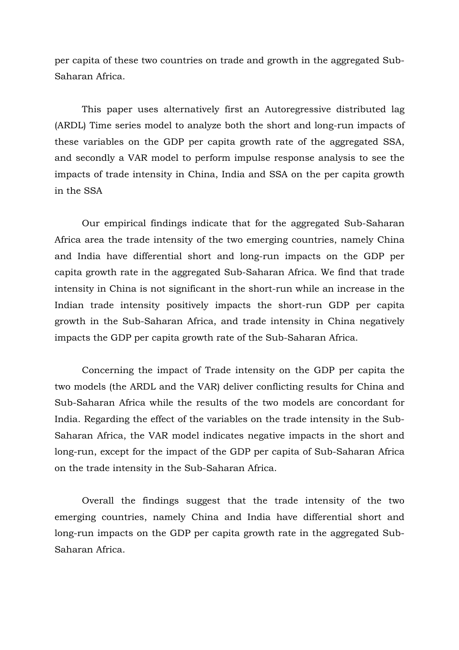per capita of these two countries on trade and growth in the aggregated Sub-Saharan Africa.

This paper uses alternatively first an Autoregressive distributed lag (ARDL) Time series model to analyze both the short and long-run impacts of these variables on the GDP per capita growth rate of the aggregated SSA, and secondly a VAR model to perform impulse response analysis to see the impacts of trade intensity in China, India and SSA on the per capita growth in the SSA

Our empirical findings indicate that for the aggregated Sub-Saharan Africa area the trade intensity of the two emerging countries, namely China and India have differential short and long-run impacts on the GDP per capita growth rate in the aggregated Sub-Saharan Africa. We find that trade intensity in China is not significant in the short-run while an increase in the Indian trade intensity positively impacts the short-run GDP per capita growth in the Sub-Saharan Africa, and trade intensity in China negatively impacts the GDP per capita growth rate of the Sub-Saharan Africa.

Concerning the impact of Trade intensity on the GDP per capita the two models (the ARDL and the VAR) deliver conflicting results for China and Sub-Saharan Africa while the results of the two models are concordant for India. Regarding the effect of the variables on the trade intensity in the Sub-Saharan Africa, the VAR model indicates negative impacts in the short and long-run, except for the impact of the GDP per capita of Sub-Saharan Africa on the trade intensity in the Sub-Saharan Africa.

Overall the findings suggest that the trade intensity of the two emerging countries, namely China and India have differential short and long-run impacts on the GDP per capita growth rate in the aggregated Sub-Saharan Africa.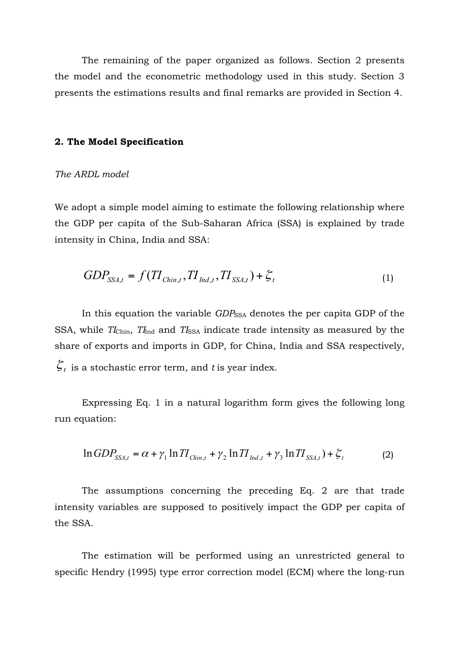The remaining of the paper organized as follows. Section 2 presents the model and the econometric methodology used in this study. Section 3 presents the estimations results and final remarks are provided in Section 4.

#### **2. The Model Specification**

#### *The ARDL model*

We adopt a simple model aiming to estimate the following relationship where the GDP per capita of the Sub-Saharan Africa (SSA) is explained by trade intensity in China, India and SSA:

$$
GDP_{SSA,t} = f(TI_{Chin,t}, TI_{Ind,t},TI_{SSA,t}) + \xi_t
$$
\n
$$
(1)
$$

In this equation the variable *GDP*<sub>SSA</sub> denotes the per capita GDP of the SSA, while *TI*<sub>Chin</sub>, *TI*<sub>Ind</sub> and *TI*<sub>SSA</sub> indicate trade intensity as measured by the share of exports and imports in GDP, for China, India and SSA respectively,  $\zeta_t$  is a stochastic error term, and *t* is year index.

Expressing Eq. 1 in a natural logarithm form gives the following long run equation:

$$
\ln GDP_{SSA,t} = \alpha + \gamma_1 \ln TI_{Chin,t} + \gamma_2 \ln TI_{Ind,t} + \gamma_3 \ln TI_{SSA,t}) + \xi_t
$$
 (2)

The assumptions concerning the preceding Eq. 2 are that trade intensity variables are supposed to positively impact the GDP per capita of the SSA.

The estimation will be performed using an unrestricted general to specific Hendry (1995) type error correction model (ECM) where the long-run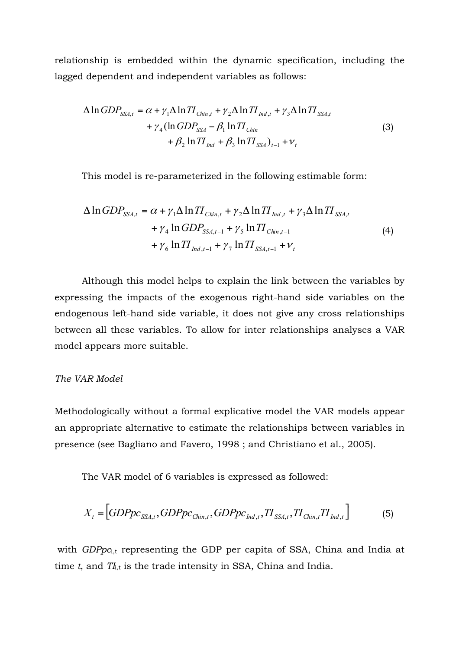relationship is embedded within the dynamic specification, including the lagged dependent and independent variables as follows:

$$
\Delta \ln GDP_{SSA,t} = \alpha + \gamma_1 \Delta \ln TI_{Chin,t} + \gamma_2 \Delta \ln TI_{Ind,t} + \gamma_3 \Delta \ln TI_{SSA,t} + \gamma_4 (\ln GDP_{SSA} - \beta_1 \ln TI_{Chin} + \beta_2 \ln TI_{Ind} + \beta_3 \ln TI_{SSA})_{t-1} + \nu_t
$$
\n(3)

This model is re-parameterized in the following estimable form:

$$
\Delta \ln GDP_{SSA,t} = \alpha + \gamma_1 \Delta \ln TI_{Chin,t} + \gamma_2 \Delta \ln TI_{Ind,t} + \gamma_3 \Delta \ln TI_{SSA,t} + \gamma_4 \ln GDP_{SSA,t-1} + \gamma_5 \ln TI_{Chin,t-1} + \gamma_6 \ln TI_{Ind,t-1} + \gamma_7 \ln TI_{SSA,t-1} + \nu_t
$$
\n(4)

Although this model helps to explain the link between the variables by expressing the impacts of the exogenous right-hand side variables on the endogenous left-hand side variable, it does not give any cross relationships between all these variables. To allow for inter relationships analyses a VAR model appears more suitable.

#### *The VAR Model*

Methodologically without a formal explicative model the VAR models appear an appropriate alternative to estimate the relationships between variables in presence (see Bagliano and Favero, 1998 ; and Christiano et al., 2005).

The VAR model of 6 variables is expressed as followed:

$$
X_{t} = \left[ GDPpc_{SSA,t}, GDPpc_{Chin,t}, GDPpc_{Ind,t}, TI_{SSA,t}, TI_{Chin,t}TI_{Ind,t} \right]
$$
(5)

with *GDPpc*<sub>it</sub> representing the GDP per capita of SSA, China and India at time  $t$ , and  $T_{i,t}$  is the trade intensity in SSA, China and India.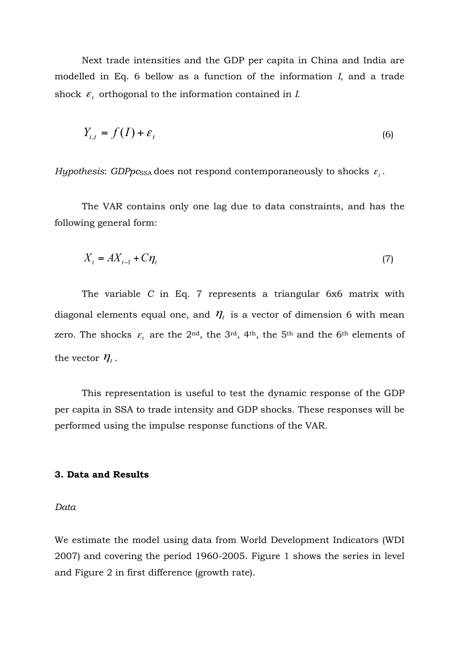Next trade intensities and the GDP per capita in China and India are modelled in Eq. 6 bellow as a function of the information *I*, and a trade shock  $\varepsilon_t$  orthogonal to the information contained in *I*.

$$
Y_{i,t} = f(I) + \varepsilon_t \tag{6}
$$

*Hypothesis: GDPpc*<sub>SSA</sub> does not respond contemporaneously to shocks  $\varepsilon_t$ .

The VAR contains only one lag due to data constraints, and has the following general form:

$$
X_t = AX_{t-1} + C\eta_t \tag{7}
$$

The variable *C* in Eq. 7 represents a triangular 6x6 matrix with diagonal elements equal one, and  $\eta_t$  is a vector of dimension 6 with mean zero. The shocks  $\varepsilon$ <sub>t</sub> are the 2<sup>nd</sup>, the 3<sup>rd</sup>, 4<sup>th</sup>, the 5<sup>th</sup> and the 6<sup>th</sup> elements of the vector  $\eta_t$ .

This representation is useful to test the dynamic response of the GDP per capita in SSA to trade intensity and GDP shocks. These responses will be performed using the impulse response functions of the VAR.

#### **3. Data and Results**

*Data*

We estimate the model using data from World Development Indicators (WDI 2007) and covering the period 1960-2005. Figure 1 shows the series in level and Figure 2 in first difference (growth rate).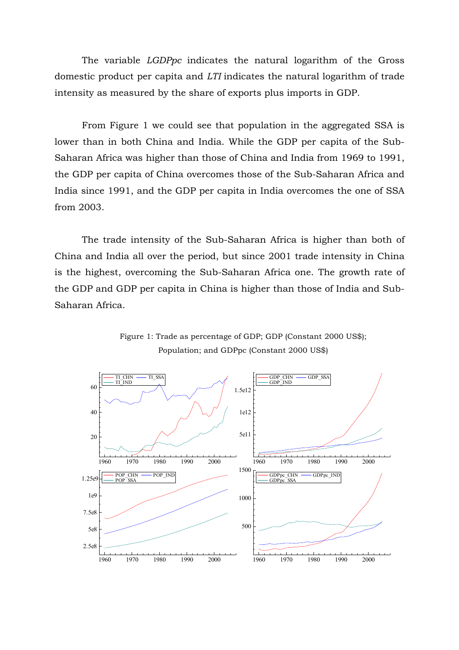The variable *LGDPpc* indicates the natural logarithm of the Gross domestic product per capita and *LTI* indicates the natural logarithm of trade intensity as measured by the share of exports plus imports in GDP.

From Figure 1 we could see that population in the aggregated SSA is lower than in both China and India. While the GDP per capita of the Sub-Saharan Africa was higher than those of China and India from 1969 to 1991, the GDP per capita of China overcomes those of the Sub-Saharan Africa and India since 1991, and the GDP per capita in India overcomes the one of SSA from 2003.

The trade intensity of the Sub-Saharan Africa is higher than both of China and India all over the period, but since 2001 trade intensity in China is the highest, overcoming the Sub-Saharan Africa one. The growth rate of the GDP and GDP per capita in China is higher than those of India and Sub-Saharan Africa.



Figure 1: Trade as percentage of GDP; GDP (Constant 2000 US\$); Population; and GDPpc (Constant 2000 US\$)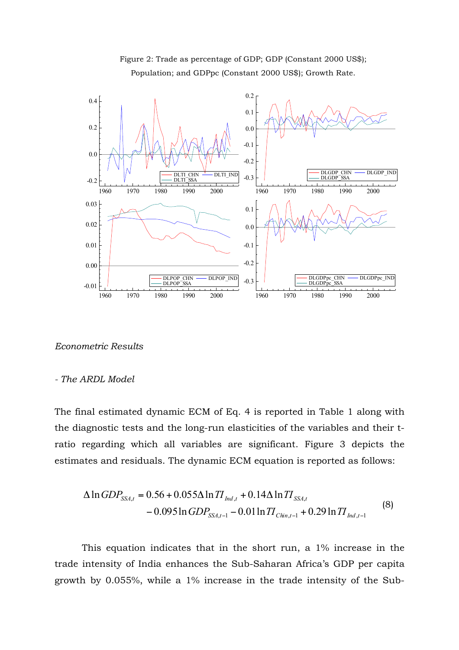

Figure 2: Trade as percentage of GDP; GDP (Constant 2000 US\$); Population; and GDPpc (Constant 2000 US\$); Growth Rate.

*Econometric Results*

#### *- The ARDL Model*

The final estimated dynamic ECM of Eq. 4 is reported in Table 1 along with the diagnostic tests and the long-run elasticities of the variables and their tratio regarding which all variables are significant. Figure 3 depicts the estimates and residuals. The dynamic ECM equation is reported as follows:

$$
\Delta \ln GDP_{SSA,t} = 0.56 + 0.055 \Delta \ln TI_{\text{Ind},t} + 0.14 \Delta \ln TI_{SSA,t} - 0.095 \ln GDP_{SSA,t-1} - 0.01 \ln TI_{\text{Chi},t-1} + 0.29 \ln TI_{\text{Ind},t-1}
$$
\n(8)

This equation indicates that in the short run, a 1% increase in the trade intensity of India enhances the Sub-Saharan Africa's GDP per capita growth by 0.055%, while a 1% increase in the trade intensity of the Sub-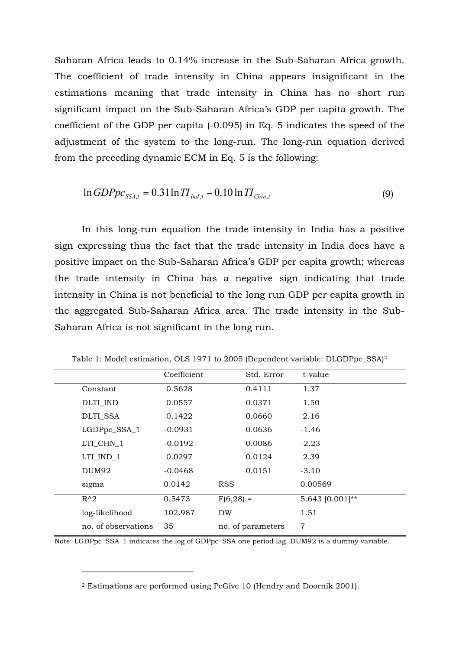Saharan Africa leads to 0.14% increase in the Sub-Saharan Africa growth. The coefficient of trade intensity in China appears insignificant in the estimations meaning that trade intensity in China has no short run significant impact on the Sub-Saharan Africa's GDP per capita growth. The coefficient of the GDP per capita (-0.095) in Eq. 5 indicates the speed of the adjustment of the system to the long-run. The long-run equation derived from the preceding dynamic ECM in Eq. 5 is the following:

$$
\ln GDPpc_{SSA,t} = 0.31 \ln TI_{\text{Ind},t} - 0.10 \ln TI_{\text{Chin},t}
$$
\n(9)

In this long-run equation the trade intensity in India has a positive sign expressing thus the fact that the trade intensity in India does have a positive impact on the Sub-Saharan Africa's GDP per capita growth; whereas the trade intensity in China has a negative sign indicating that trade intensity in China is not beneficial to the long run GDP per capita growth in the aggregated Sub-Saharan Africa area. The trade intensity in the Sub-Saharan Africa is not significant in the long run.

| Coefficient | Std. Error        | t-value         |
|-------------|-------------------|-----------------|
| 0.5628      | 0.4111            | 1.37            |
| 0.0557      | 0.0371            | 1.50            |
| 0.1422      | 0.0660            | 2.16            |
| $-0.0931$   | 0.0636            | $-1.46$         |
| $-0.0192$   | 0.0086            | $-2.23$         |
| 0.0297      | 0.0124            | 2.39            |
| $-0.0468$   | 0.0151            | $-3.10$         |
| 0.0142      | <b>RSS</b>        | 0.00569         |
| 0.5473      | $F(6, 28) =$      | 5.643 [0.001]** |
| 102.987     | DW                | 1.51            |
| 35          | no. of parameters | 7               |
|             |                   |                 |

Table 1: Model estimation, OLS 1971 to 2005 (Dependent variable: DLGDPpc\_SSA)2

Note: LGDPpc\_SSA\_1 indicates the log of GDPpc\_SSA one period lag. DUM92 is a dummy variable.

 $\overline{a}$ 

<sup>2</sup> Estimations are performed using PcGive 10 (Hendry and Doornik 2001).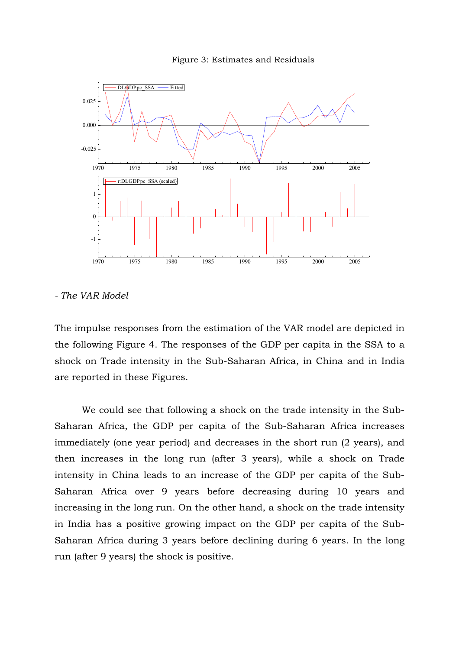



*- The VAR Model*

The impulse responses from the estimation of the VAR model are depicted in the following Figure 4. The responses of the GDP per capita in the SSA to a shock on Trade intensity in the Sub-Saharan Africa, in China and in India are reported in these Figures.

We could see that following a shock on the trade intensity in the Sub-Saharan Africa, the GDP per capita of the Sub-Saharan Africa increases immediately (one year period) and decreases in the short run (2 years), and then increases in the long run (after 3 years), while a shock on Trade intensity in China leads to an increase of the GDP per capita of the Sub-Saharan Africa over 9 years before decreasing during 10 years and increasing in the long run. On the other hand, a shock on the trade intensity in India has a positive growing impact on the GDP per capita of the Sub-Saharan Africa during 3 years before declining during 6 years. In the long run (after 9 years) the shock is positive.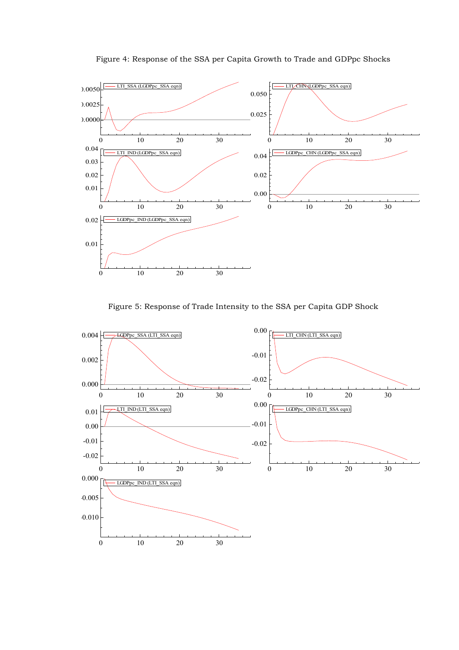



Figure 5: Response of Trade Intensity to the SSA per Capita GDP Shock

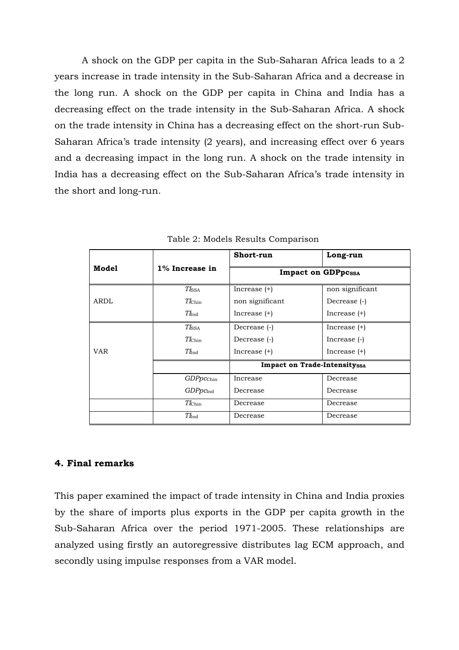A shock on the GDP per capita in the Sub-Saharan Africa leads to a 2 years increase in trade intensity in the Sub-Saharan Africa and a decrease in the long run. A shock on the GDP per capita in China and India has a decreasing effect on the trade intensity in the Sub-Saharan Africa. A shock on the trade intensity in China has a decreasing effect on the short-run Sub-Saharan Africa's trade intensity (2 years), and increasing effect over 6 years and a decreasing impact in the long run. A shock on the trade intensity in India has a decreasing effect on the Sub-Saharan Africa's trade intensity in the short and long-run.

|            |                            | Short-run                           | Long-run        |  |
|------------|----------------------------|-------------------------------------|-----------------|--|
| Model      | $1\%$ Increase in          | <b>Impact on GDPpcssA</b>           |                 |  |
|            | $T_{\rm ISSA}$             | Increase $(+)$                      | non significant |  |
| ARDL       | $T_{\rm{Chin}}$            | non significant                     | Decrease (-)    |  |
|            | $Tl_{\rm Ind}$             | Increase $(+)$                      | Increase $(+)$  |  |
| <b>VAR</b> | $T\mathit{I}_{\text{SSA}}$ | Decrease (-)                        | Increase $(+)$  |  |
|            | $T_{\rm{Chin}}$            | Decrease (-)                        | Increase (-)    |  |
|            | $T_{\rm Ind}$              | Increase $(+)$                      | Increase $(+)$  |  |
|            |                            | <b>Impact on Trade-Intensityssa</b> |                 |  |
|            | GDPpcchin                  | Increase                            | Decrease        |  |
|            | GDPpC <sub>Ind</sub>       | Decrease                            | Decrease        |  |
|            | $T$ <i>Chin</i>            | Decrease                            | Decrease        |  |
|            | $T_{\rm Ind}$              | Decrease                            | Decrease        |  |

Table 2: Models Results Comparison

#### **4. Final remarks**

This paper examined the impact of trade intensity in China and India proxies by the share of imports plus exports in the GDP per capita growth in the Sub-Saharan Africa over the period 1971-2005. These relationships are analyzed using firstly an autoregressive distributes lag ECM approach, and secondly using impulse responses from a VAR model.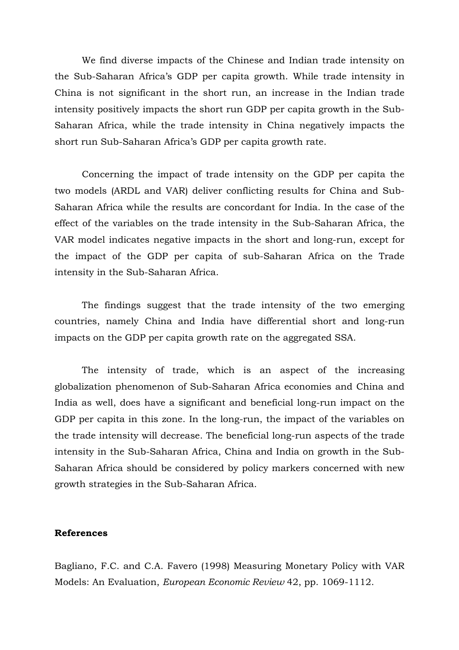We find diverse impacts of the Chinese and Indian trade intensity on the Sub-Saharan Africa's GDP per capita growth. While trade intensity in China is not significant in the short run, an increase in the Indian trade intensity positively impacts the short run GDP per capita growth in the Sub-Saharan Africa, while the trade intensity in China negatively impacts the short run Sub-Saharan Africa's GDP per capita growth rate.

Concerning the impact of trade intensity on the GDP per capita the two models (ARDL and VAR) deliver conflicting results for China and Sub-Saharan Africa while the results are concordant for India. In the case of the effect of the variables on the trade intensity in the Sub-Saharan Africa, the VAR model indicates negative impacts in the short and long-run, except for the impact of the GDP per capita of sub-Saharan Africa on the Trade intensity in the Sub-Saharan Africa.

The findings suggest that the trade intensity of the two emerging countries, namely China and India have differential short and long-run impacts on the GDP per capita growth rate on the aggregated SSA.

The intensity of trade, which is an aspect of the increasing globalization phenomenon of Sub-Saharan Africa economies and China and India as well, does have a significant and beneficial long-run impact on the GDP per capita in this zone. In the long-run, the impact of the variables on the trade intensity will decrease. The beneficial long-run aspects of the trade intensity in the Sub-Saharan Africa, China and India on growth in the Sub-Saharan Africa should be considered by policy markers concerned with new growth strategies in the Sub-Saharan Africa.

#### **References**

Bagliano, F.C. and C.A. Favero (1998) Measuring Monetary Policy with VAR Models: An Evaluation, *European Economic Review* 42, pp. 1069-1112.